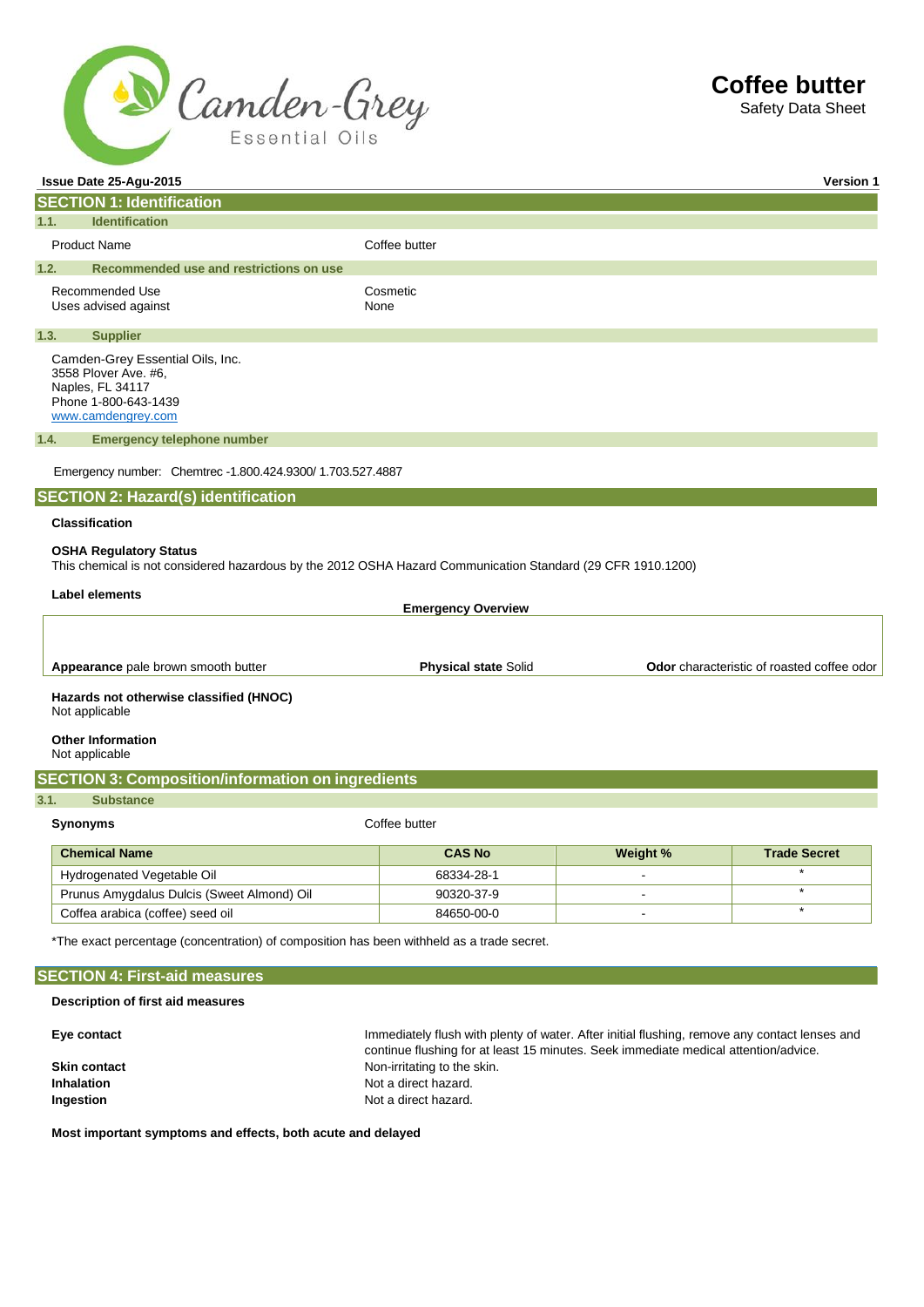

Safety Data Sheet

| Issue Date 25-Agu-2015                                                                                                                       |                                                                                                                                                                                      |                          | <b>Version 1</b>                                  |
|----------------------------------------------------------------------------------------------------------------------------------------------|--------------------------------------------------------------------------------------------------------------------------------------------------------------------------------------|--------------------------|---------------------------------------------------|
| <b>SECTION 1: Identification</b>                                                                                                             |                                                                                                                                                                                      |                          |                                                   |
| <b>Identification</b><br>1.1.                                                                                                                |                                                                                                                                                                                      |                          |                                                   |
| <b>Product Name</b>                                                                                                                          | Coffee butter                                                                                                                                                                        |                          |                                                   |
| 1.2.<br>Recommended use and restrictions on use                                                                                              |                                                                                                                                                                                      |                          |                                                   |
| Recommended Use<br>Uses advised against                                                                                                      | Cosmetic<br>None                                                                                                                                                                     |                          |                                                   |
|                                                                                                                                              |                                                                                                                                                                                      |                          |                                                   |
| 1.3.<br><b>Supplier</b>                                                                                                                      |                                                                                                                                                                                      |                          |                                                   |
| Camden-Grey Essential Oils, Inc.<br>3558 Plover Ave. #6,<br>Naples, FL 34117<br>Phone 1-800-643-1439<br>www.camdengrey.com                   |                                                                                                                                                                                      |                          |                                                   |
| 1.4.<br><b>Emergency telephone number</b>                                                                                                    |                                                                                                                                                                                      |                          |                                                   |
| Emergency number: Chemtrec -1.800.424.9300/1.703.527.4887                                                                                    |                                                                                                                                                                                      |                          |                                                   |
| <b>SECTION 2: Hazard(s) identification</b>                                                                                                   |                                                                                                                                                                                      |                          |                                                   |
| <b>Classification</b>                                                                                                                        |                                                                                                                                                                                      |                          |                                                   |
| <b>OSHA Regulatory Status</b><br>This chemical is not considered hazardous by the 2012 OSHA Hazard Communication Standard (29 CFR 1910.1200) |                                                                                                                                                                                      |                          |                                                   |
| <b>Label elements</b>                                                                                                                        |                                                                                                                                                                                      |                          |                                                   |
|                                                                                                                                              | <b>Emergency Overview</b>                                                                                                                                                            |                          |                                                   |
|                                                                                                                                              |                                                                                                                                                                                      |                          |                                                   |
| Appearance pale brown smooth butter                                                                                                          | <b>Physical state Solid</b>                                                                                                                                                          |                          | <b>Odor</b> characteristic of roasted coffee odor |
| Hazards not otherwise classified (HNOC)<br>Not applicable<br><b>Other Information</b><br>Not applicable                                      |                                                                                                                                                                                      |                          |                                                   |
| <b>SECTION 3: Composition/information on ingredients</b>                                                                                     |                                                                                                                                                                                      |                          |                                                   |
| <b>Substance</b><br>3.1.                                                                                                                     |                                                                                                                                                                                      |                          |                                                   |
| <b>Synonyms</b>                                                                                                                              | Coffee butter                                                                                                                                                                        |                          |                                                   |
| <b>Chemical Name</b>                                                                                                                         | <b>CAS No</b>                                                                                                                                                                        | Weight %                 | <b>Trade Secret</b>                               |
| Hydrogenated Vegetable Oil                                                                                                                   | 68334-28-1                                                                                                                                                                           | $\blacksquare$           | $\star$                                           |
| Prunus Amygdalus Dulcis (Sweet Almond) Oil                                                                                                   | 90320-37-9                                                                                                                                                                           | $\overline{\phantom{a}}$ |                                                   |
| Coffea arabica (coffee) seed oil                                                                                                             | 84650-00-0                                                                                                                                                                           | $\blacksquare$           | $\star$                                           |
| *The exact percentage (concentration) of composition has been withheld as a trade secret.                                                    |                                                                                                                                                                                      |                          |                                                   |
| <b>SECTION 4: First-aid measures</b>                                                                                                         |                                                                                                                                                                                      |                          |                                                   |
| Description of first aid measures                                                                                                            |                                                                                                                                                                                      |                          |                                                   |
| Eye contact                                                                                                                                  | Immediately flush with plenty of water. After initial flushing, remove any contact lenses and<br>continue flushing for at least 15 minutes. Seek immediate medical attention/advice. |                          |                                                   |

**Most important symptoms and effects, both acute and delayed**

**Skin contact Non-irritating to the skin.** Non-irritating to the skin. **Inhalation Not a direct hazard. Ingestion Installer in the UP** and Mot a direct hazard.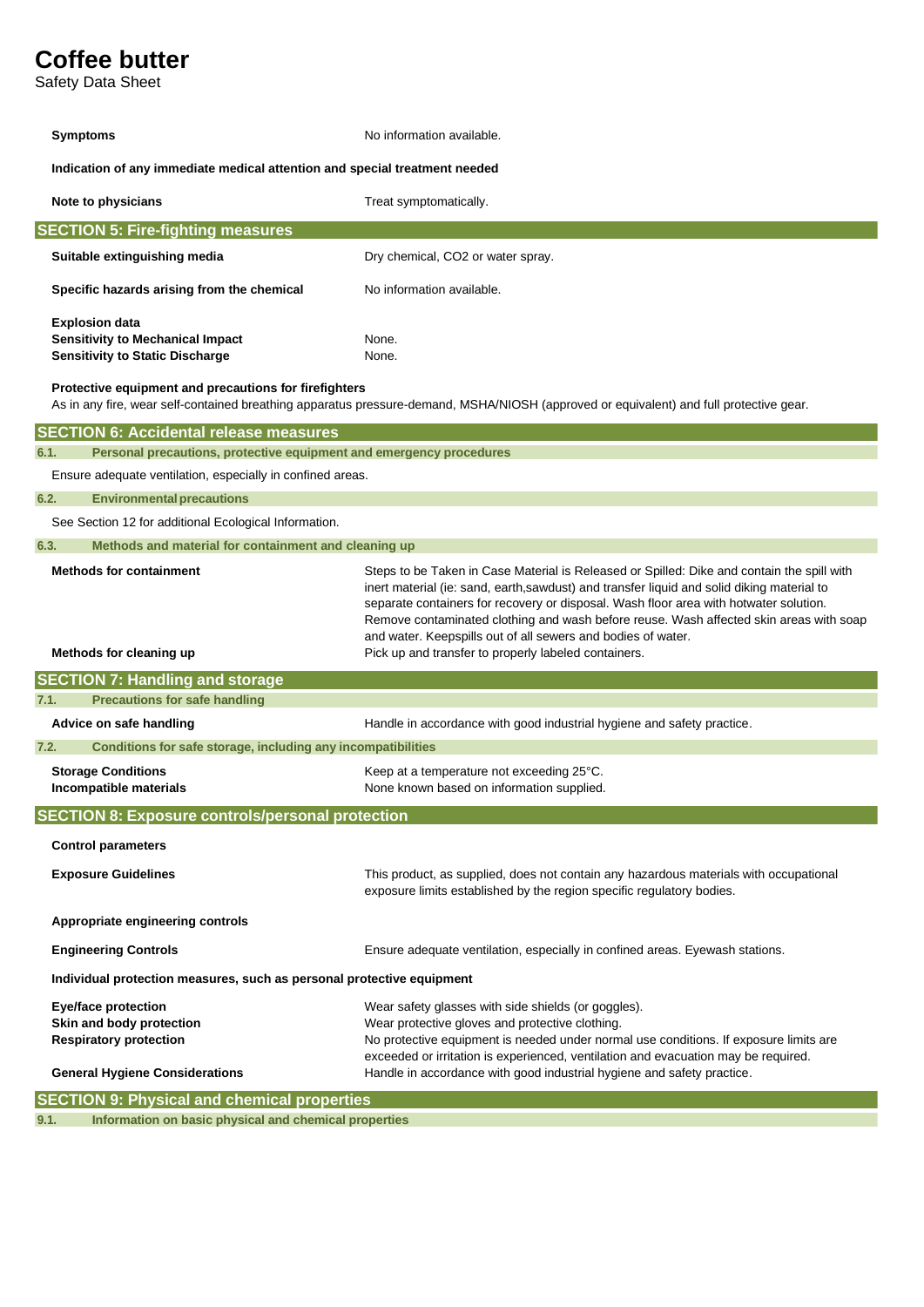Safety Data Sheet

| <b>Symptoms</b>                                                                                                                  | No information available.                                                                                                                                                                                                                                                                                                                                                                                                                                                                           |
|----------------------------------------------------------------------------------------------------------------------------------|-----------------------------------------------------------------------------------------------------------------------------------------------------------------------------------------------------------------------------------------------------------------------------------------------------------------------------------------------------------------------------------------------------------------------------------------------------------------------------------------------------|
| Indication of any immediate medical attention and special treatment needed                                                       |                                                                                                                                                                                                                                                                                                                                                                                                                                                                                                     |
| Note to physicians                                                                                                               | Treat symptomatically.                                                                                                                                                                                                                                                                                                                                                                                                                                                                              |
| <b>SECTION 5: Fire-fighting measures</b>                                                                                         |                                                                                                                                                                                                                                                                                                                                                                                                                                                                                                     |
| Suitable extinguishing media                                                                                                     | Dry chemical, CO2 or water spray.                                                                                                                                                                                                                                                                                                                                                                                                                                                                   |
| Specific hazards arising from the chemical                                                                                       | No information available.                                                                                                                                                                                                                                                                                                                                                                                                                                                                           |
| <b>Explosion data</b><br><b>Sensitivity to Mechanical Impact</b><br><b>Sensitivity to Static Discharge</b>                       | None.<br>None.                                                                                                                                                                                                                                                                                                                                                                                                                                                                                      |
| Protective equipment and precautions for firefighters                                                                            | As in any fire, wear self-contained breathing apparatus pressure-demand, MSHA/NIOSH (approved or equivalent) and full protective gear.                                                                                                                                                                                                                                                                                                                                                              |
| <b>SECTION 6: Accidental release measures</b>                                                                                    |                                                                                                                                                                                                                                                                                                                                                                                                                                                                                                     |
| Personal precautions, protective equipment and emergency procedures<br>6.1.                                                      |                                                                                                                                                                                                                                                                                                                                                                                                                                                                                                     |
| Ensure adequate ventilation, especially in confined areas.                                                                       |                                                                                                                                                                                                                                                                                                                                                                                                                                                                                                     |
| 6.2.<br><b>Environmental precautions</b>                                                                                         |                                                                                                                                                                                                                                                                                                                                                                                                                                                                                                     |
| See Section 12 for additional Ecological Information.                                                                            |                                                                                                                                                                                                                                                                                                                                                                                                                                                                                                     |
| 6.3.<br>Methods and material for containment and cleaning up                                                                     |                                                                                                                                                                                                                                                                                                                                                                                                                                                                                                     |
| <b>Methods for containment</b><br>Methods for cleaning up                                                                        | Steps to be Taken in Case Material is Released or Spilled: Dike and contain the spill with<br>inert material (ie: sand, earth, sawdust) and transfer liquid and solid diking material to<br>separate containers for recovery or disposal. Wash floor area with hotwater solution.<br>Remove contaminated clothing and wash before reuse. Wash affected skin areas with soap<br>and water. Keepspills out of all sewers and bodies of water.<br>Pick up and transfer to properly labeled containers. |
|                                                                                                                                  |                                                                                                                                                                                                                                                                                                                                                                                                                                                                                                     |
| <b>SECTION 7: Handling and storage</b><br><b>Precautions for safe handling</b><br>7.1.                                           |                                                                                                                                                                                                                                                                                                                                                                                                                                                                                                     |
| Advice on safe handling                                                                                                          | Handle in accordance with good industrial hygiene and safety practice.                                                                                                                                                                                                                                                                                                                                                                                                                              |
| Conditions for safe storage, including any incompatibilities<br>7.2.                                                             |                                                                                                                                                                                                                                                                                                                                                                                                                                                                                                     |
| <b>Storage Conditions</b><br>Incompatible materials                                                                              | Keep at a temperature not exceeding 25°C.<br>None known based on information supplied.                                                                                                                                                                                                                                                                                                                                                                                                              |
| <b>SECTION 8: Exposure controls/personal protection</b>                                                                          |                                                                                                                                                                                                                                                                                                                                                                                                                                                                                                     |
| <b>Control parameters</b>                                                                                                        |                                                                                                                                                                                                                                                                                                                                                                                                                                                                                                     |
| <b>Exposure Guidelines</b>                                                                                                       | This product, as supplied, does not contain any hazardous materials with occupational<br>exposure limits established by the region specific regulatory bodies.                                                                                                                                                                                                                                                                                                                                      |
| Appropriate engineering controls                                                                                                 |                                                                                                                                                                                                                                                                                                                                                                                                                                                                                                     |
| <b>Engineering Controls</b>                                                                                                      | Ensure adequate ventilation, especially in confined areas. Eyewash stations.                                                                                                                                                                                                                                                                                                                                                                                                                        |
| Individual protection measures, such as personal protective equipment                                                            |                                                                                                                                                                                                                                                                                                                                                                                                                                                                                                     |
| <b>Eye/face protection</b><br>Skin and body protection<br><b>Respiratory protection</b><br><b>General Hygiene Considerations</b> | Wear safety glasses with side shields (or goggles).<br>Wear protective gloves and protective clothing.<br>No protective equipment is needed under normal use conditions. If exposure limits are<br>exceeded or irritation is experienced, ventilation and evacuation may be required.<br>Handle in accordance with good industrial hygiene and safety practice.                                                                                                                                     |
| <b>SECTION 9: Physical and chemical properties</b>                                                                               |                                                                                                                                                                                                                                                                                                                                                                                                                                                                                                     |
| 9.1.<br>Information on basic physical and chemical properties                                                                    |                                                                                                                                                                                                                                                                                                                                                                                                                                                                                                     |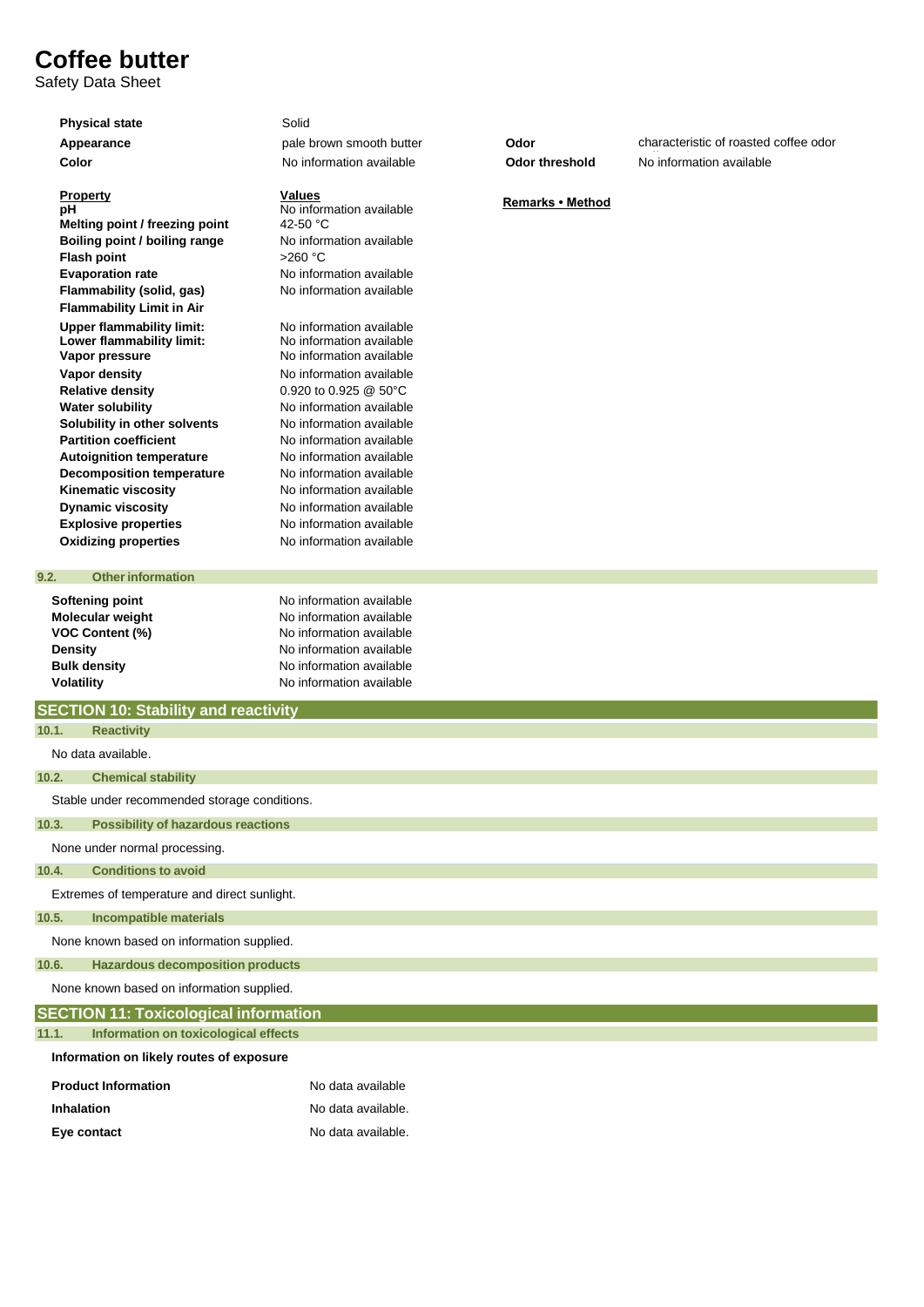Safety Data Sheet

| <b>Physical state</b> | Solid |
|-----------------------|-------|
| Appearance            | pale  |
| Color                 | No ir |

# **Property**

**pH Melting point / freezing point Boiling point / boiling range** No information available **Flash point** >260 °C **Evaporation rate** No information available **Flammability (solid, gas)** No information available **Flammability Limit in Air Upper flammability limit: Lower flammability limit: Vapor pressure Vapor density No information available Relative density** 0.920 to 0.925 @ 50°C **Water solubility** No information available **Solubility in other solvents** No information available **Partition coefficient** No information available **Autoignition temperature** No information available **Decomposition temperature** No information available **Kinematic viscosity** No information available **Dynamic viscosity**<br> **Explosive properties**<br>
No information available<br>
No information available **Explosive properties Oxidizing properties** No information available

### **9.2. Otherinformation**

**Softening point Molecular weight VOC Content (%) Density Bulk density Volatility** 

| No information available |
|--------------------------|
| No information available |
| No information available |
| No information available |
| No information available |
| No information available |

No information available No information available No information available

**Values** 

pale brown smooth butter **Odor Odor** characteristic of roasted coffee odor No information available **Odor threshold** No information available

# **Yalues**<br>No information available<br>42-50 °C

|                    | <b>SECTION 10: Stability and reactivity</b>  |  |
|--------------------|----------------------------------------------|--|
| 10.1.              | <b>Reactivity</b>                            |  |
| No data available. |                                              |  |
| 10.2.              | <b>Chemical stability</b>                    |  |
|                    | Stable under recommended storage conditions. |  |
| 10.3.              | <b>Possibility of hazardous reactions</b>    |  |
|                    | None under normal processing.                |  |
| 10.4.              | <b>Conditions to avoid</b>                   |  |
|                    | Extremes of temperature and direct sunlight. |  |
| 10.5.              | <b>Incompatible materials</b>                |  |
|                    | None known based on information supplied.    |  |
| 10.6.              | <b>Hazardous decomposition products</b>      |  |
|                    | None known based on information supplied.    |  |
|                    | <b>SECTION 11: Toxicological information</b> |  |
| 11.1.              | Information on toxicological effects         |  |
|                    |                                              |  |

# **Information on likely routes of exposure**

| <b>Product Information</b> | No data available  |
|----------------------------|--------------------|
| Inhalation                 | No data available. |
| Eye contact                | No data available. |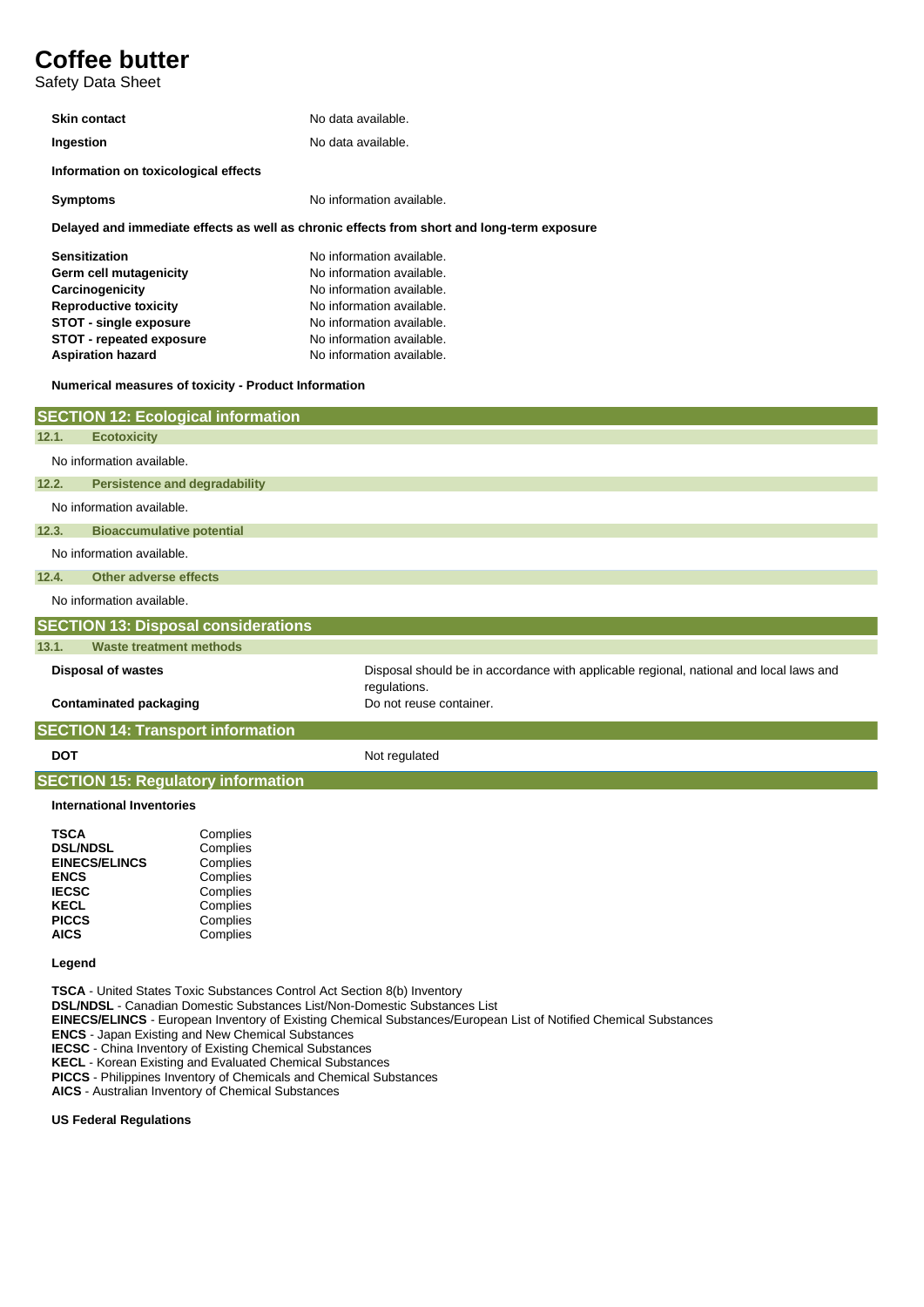Safety Data Sheet

| <b>Skin contact</b>                                                                        | No data available.        |  |  |
|--------------------------------------------------------------------------------------------|---------------------------|--|--|
| Ingestion                                                                                  | No data available.        |  |  |
| Information on toxicological effects                                                       |                           |  |  |
| <b>Symptoms</b>                                                                            | No information available. |  |  |
| Delayed and immediate effects as well as chronic effects from short and long-term exposure |                           |  |  |
| <b>Sensitization</b>                                                                       | No information available. |  |  |
| Germ cell mutagenicity                                                                     | No information available. |  |  |
| Carcinogenicity                                                                            | No information available. |  |  |
| <b>Reproductive toxicity</b>                                                               | No information available. |  |  |
| STOT - single exposure                                                                     | No information available. |  |  |
| STOT - repeated exposure                                                                   | No information available. |  |  |
| <b>Aspiration hazard</b>                                                                   | No information available. |  |  |
|                                                                                            |                           |  |  |

## **Numerical measures of toxicity - Product Information**

|            | <b>SECTION 12: Ecological information</b>  |                                                                                                        |
|------------|--------------------------------------------|--------------------------------------------------------------------------------------------------------|
| 12.1.      | <b>Ecotoxicity</b>                         |                                                                                                        |
|            | No information available.                  |                                                                                                        |
| 12.2.      | <b>Persistence and degradability</b>       |                                                                                                        |
|            | No information available.                  |                                                                                                        |
| 12.3.      | <b>Bioaccumulative potential</b>           |                                                                                                        |
|            | No information available.                  |                                                                                                        |
| 12.4.      | Other adverse effects                      |                                                                                                        |
|            | No information available.                  |                                                                                                        |
|            | <b>SECTION 13: Disposal considerations</b> |                                                                                                        |
| 13.1.      | <b>Waste treatment methods</b>             |                                                                                                        |
|            | <b>Disposal of wastes</b>                  | Disposal should be in accordance with applicable regional, national and local laws and<br>regulations. |
|            | <b>Contaminated packaging</b>              | Do not reuse container.                                                                                |
|            |                                            |                                                                                                        |
|            | <b>SECTION 14: Transport information</b>   |                                                                                                        |
| <b>DOT</b> |                                            | Not regulated                                                                                          |
|            | <b>SECTION 15: Regulatory information</b>  |                                                                                                        |
|            | <b>International Inventories</b>           |                                                                                                        |

# **Legend**

**TSCA** - United States Toxic Substances Control Act Section 8(b) Inventory **DSL/NDSL** - Canadian Domestic Substances List/Non-Domestic Substances List **EINECS/ELINCS** - European Inventory of Existing Chemical Substances/European List of Notified Chemical Substances **ENCS** - Japan Existing and New Chemical Substances **IECSC** - China Inventory of Existing Chemical Substances **KECL** - Korean Existing and Evaluated Chemical Substances **PICCS** - Philippines Inventory of Chemicals and Chemical Substances **AICS** - Australian Inventory of Chemical Substances

**US Federal Regulations**